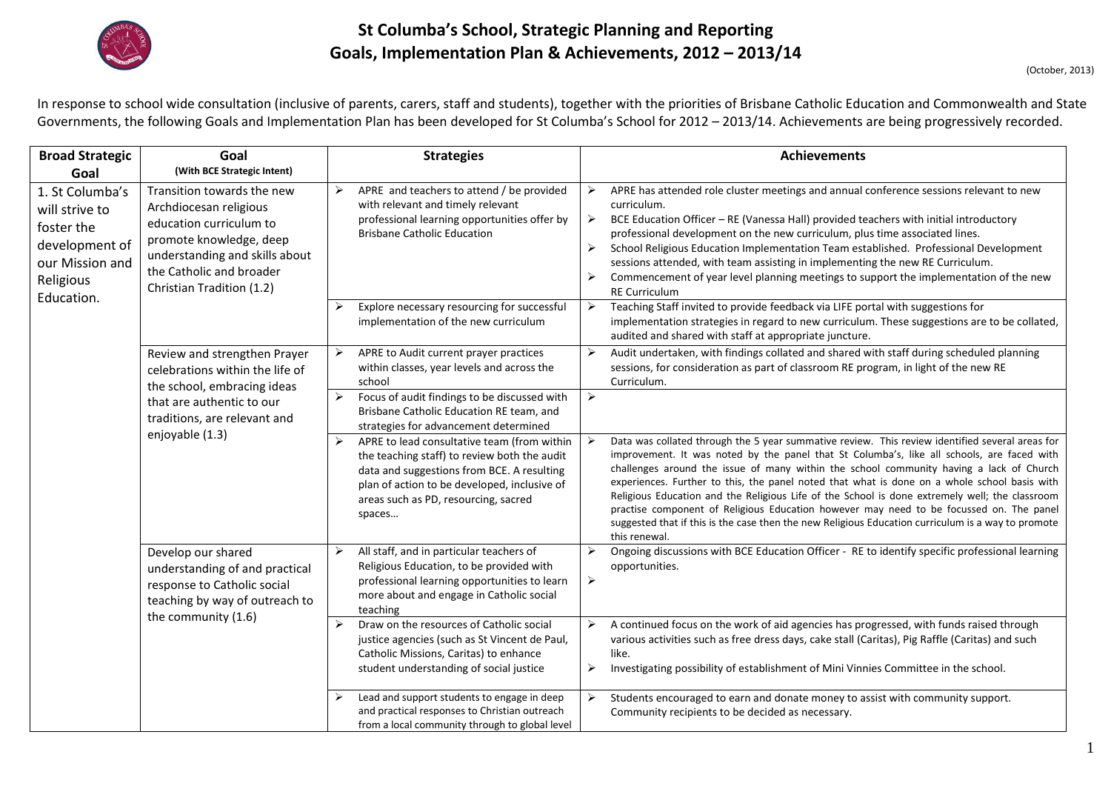

## **St Columba's School, Strategic Planning and Reporting Goals, Implementation Plan & Achievements, 2012 – 2013/14**

1

In response to school wide consultation (inclusive of parents, carers, staff and students), together with the priorities of Brisbane Catholic Education and Commonwealth and State Governments, the following Goals and Implementation Plan has been developed for St Columba's School for 2012 – 2013/14. Achievements are being progressively recorded.

| <b>Broad Strategic</b>                                                                                          | Goal                                                                                                                                                                                                  | <b>Strategies</b>                                                                                                                                                                                                                                                    | <b>Achievements</b>                                                                                                                                                                                                                                                                                                                                                                                                                                                                                                                                                                                                                                                                                          |
|-----------------------------------------------------------------------------------------------------------------|-------------------------------------------------------------------------------------------------------------------------------------------------------------------------------------------------------|----------------------------------------------------------------------------------------------------------------------------------------------------------------------------------------------------------------------------------------------------------------------|--------------------------------------------------------------------------------------------------------------------------------------------------------------------------------------------------------------------------------------------------------------------------------------------------------------------------------------------------------------------------------------------------------------------------------------------------------------------------------------------------------------------------------------------------------------------------------------------------------------------------------------------------------------------------------------------------------------|
| Goal                                                                                                            | (With BCE Strategic Intent)                                                                                                                                                                           |                                                                                                                                                                                                                                                                      |                                                                                                                                                                                                                                                                                                                                                                                                                                                                                                                                                                                                                                                                                                              |
| 1. St Columba's<br>will strive to<br>foster the<br>development of<br>our Mission and<br>Religious<br>Education. | Transition towards the new<br>Archdiocesan religious<br>education curriculum to<br>promote knowledge, deep<br>understanding and skills about<br>the Catholic and broader<br>Christian Tradition (1.2) | ➤<br>APRE and teachers to attend / be provided<br>with relevant and timely relevant<br>professional learning opportunities offer by<br><b>Brisbane Catholic Education</b>                                                                                            | ➤<br>APRE has attended role cluster meetings and annual conference sessions relevant to new<br>curriculum.<br>➤<br>BCE Education Officer - RE (Vanessa Hall) provided teachers with initial introductory<br>professional development on the new curriculum, plus time associated lines.<br>School Religious Education Implementation Team established. Professional Development<br>➤<br>sessions attended, with team assisting in implementing the new RE Curriculum.<br>Commencement of year level planning meetings to support the implementation of the new<br>➤<br><b>RE Curriculum</b>                                                                                                                  |
|                                                                                                                 |                                                                                                                                                                                                       | Explore necessary resourcing for successful<br>implementation of the new curriculum                                                                                                                                                                                  | Teaching Staff invited to provide feedback via LIFE portal with suggestions for<br>➤<br>implementation strategies in regard to new curriculum. These suggestions are to be collated,<br>audited and shared with staff at appropriate juncture.                                                                                                                                                                                                                                                                                                                                                                                                                                                               |
|                                                                                                                 | Review and strengthen Prayer<br>celebrations within the life of<br>the school, embracing ideas                                                                                                        | APRE to Audit current prayer practices<br>➤<br>within classes, year levels and across the<br>school                                                                                                                                                                  | Audit undertaken, with findings collated and shared with staff during scheduled planning<br>➤<br>sessions, for consideration as part of classroom RE program, in light of the new RE<br>Curriculum.                                                                                                                                                                                                                                                                                                                                                                                                                                                                                                          |
|                                                                                                                 | that are authentic to our<br>traditions, are relevant and<br>enjoyable (1.3)                                                                                                                          | Focus of audit findings to be discussed with<br>Brisbane Catholic Education RE team, and<br>strategies for advancement determined                                                                                                                                    | $\blacktriangleright$                                                                                                                                                                                                                                                                                                                                                                                                                                                                                                                                                                                                                                                                                        |
|                                                                                                                 |                                                                                                                                                                                                       | $\blacktriangleright$<br>APRE to lead consultative team (from within<br>the teaching staff) to review both the audit<br>data and suggestions from BCE. A resulting<br>plan of action to be developed, inclusive of<br>areas such as PD, resourcing, sacred<br>spaces | Data was collated through the 5 year summative review. This review identified several areas for<br>improvement. It was noted by the panel that St Columba's, like all schools, are faced with<br>challenges around the issue of many within the school community having a lack of Church<br>experiences. Further to this, the panel noted that what is done on a whole school basis with<br>Religious Education and the Religious Life of the School is done extremely well; the classroom<br>practise component of Religious Education however may need to be focussed on. The panel<br>suggested that if this is the case then the new Religious Education curriculum is a way to promote<br>this renewal. |
|                                                                                                                 | Develop our shared<br>understanding of and practical<br>response to Catholic social<br>teaching by way of outreach to<br>the community (1.6)                                                          | $\blacktriangleright$<br>All staff, and in particular teachers of<br>Religious Education, to be provided with<br>professional learning opportunities to learn<br>more about and engage in Catholic social<br>teaching                                                | Ongoing discussions with BCE Education Officer - RE to identify specific professional learning<br>➤<br>opportunities.<br>$\blacktriangleright$                                                                                                                                                                                                                                                                                                                                                                                                                                                                                                                                                               |
|                                                                                                                 |                                                                                                                                                                                                       | Draw on the resources of Catholic social<br>justice agencies (such as St Vincent de Paul,<br>Catholic Missions, Caritas) to enhance<br>student understanding of social justice                                                                                       | A continued focus on the work of aid agencies has progressed, with funds raised through<br>➤<br>various activities such as free dress days, cake stall (Caritas), Pig Raffle (Caritas) and such<br>like.<br>Investigating possibility of establishment of Mini Vinnies Committee in the school.<br>➤                                                                                                                                                                                                                                                                                                                                                                                                         |
|                                                                                                                 |                                                                                                                                                                                                       | Lead and support students to engage in deep<br>and practical responses to Christian outreach<br>from a local community through to global level                                                                                                                       | Students encouraged to earn and donate money to assist with community support.<br>➤<br>Community recipients to be decided as necessary.                                                                                                                                                                                                                                                                                                                                                                                                                                                                                                                                                                      |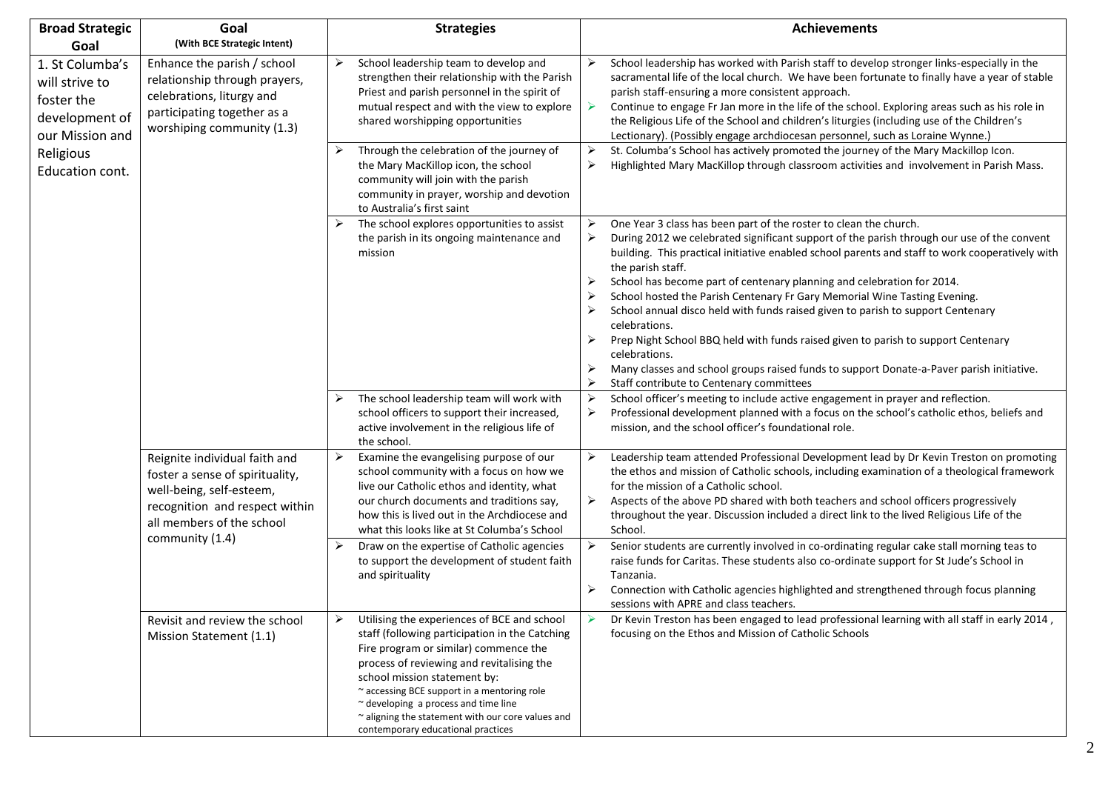| <b>Broad Strategic</b>                                                                            | Goal                                                                                                                                                        | <b>Strategies</b>                                                                                                                                                                                                                                                                                                                                                                                          | <b>Achievements</b>                                                                                                                                                                                                                                                                                                                                                                                                                                                                                                                                                                                                                                                                                                                                                                                                                                     |
|---------------------------------------------------------------------------------------------------|-------------------------------------------------------------------------------------------------------------------------------------------------------------|------------------------------------------------------------------------------------------------------------------------------------------------------------------------------------------------------------------------------------------------------------------------------------------------------------------------------------------------------------------------------------------------------------|---------------------------------------------------------------------------------------------------------------------------------------------------------------------------------------------------------------------------------------------------------------------------------------------------------------------------------------------------------------------------------------------------------------------------------------------------------------------------------------------------------------------------------------------------------------------------------------------------------------------------------------------------------------------------------------------------------------------------------------------------------------------------------------------------------------------------------------------------------|
| Goal                                                                                              | (With BCE Strategic Intent)                                                                                                                                 |                                                                                                                                                                                                                                                                                                                                                                                                            |                                                                                                                                                                                                                                                                                                                                                                                                                                                                                                                                                                                                                                                                                                                                                                                                                                                         |
| 1. St Columba's<br>will strive to<br>foster the<br>development of<br>our Mission and<br>Religious | Enhance the parish / school<br>relationship through prayers,<br>celebrations, liturgy and<br>participating together as a<br>worshiping community (1.3)      | School leadership team to develop and<br>➤<br>strengthen their relationship with the Parish<br>Priest and parish personnel in the spirit of<br>mutual respect and with the view to explore<br>shared worshipping opportunities<br>Through the celebration of the journey of<br>➤                                                                                                                           | ➤<br>School leadership has worked with Parish staff to develop stronger links-especially in the<br>sacramental life of the local church. We have been fortunate to finally have a year of stable<br>parish staff-ensuring a more consistent approach.<br>$\blacktriangleright$<br>Continue to engage Fr Jan more in the life of the school. Exploring areas such as his role in<br>the Religious Life of the School and children's liturgies (including use of the Children's<br>Lectionary). (Possibly engage archdiocesan personnel, such as Loraine Wynne.)<br>$\blacktriangleright$<br>St. Columba's School has actively promoted the journey of the Mary Mackillop Icon.                                                                                                                                                                           |
| Education cont.                                                                                   |                                                                                                                                                             | the Mary MacKillop icon, the school<br>community will join with the parish<br>community in prayer, worship and devotion<br>to Australia's first saint                                                                                                                                                                                                                                                      | $\blacktriangleright$<br>Highlighted Mary MacKillop through classroom activities and involvement in Parish Mass.                                                                                                                                                                                                                                                                                                                                                                                                                                                                                                                                                                                                                                                                                                                                        |
|                                                                                                   |                                                                                                                                                             | The school explores opportunities to assist<br>the parish in its ongoing maintenance and<br>mission                                                                                                                                                                                                                                                                                                        | One Year 3 class has been part of the roster to clean the church.<br>➤<br>$\blacktriangleright$<br>During 2012 we celebrated significant support of the parish through our use of the convent<br>building. This practical initiative enabled school parents and staff to work cooperatively with<br>the parish staff.<br>School has become part of centenary planning and celebration for 2014.<br>➤<br>School hosted the Parish Centenary Fr Gary Memorial Wine Tasting Evening.<br>➤<br>School annual disco held with funds raised given to parish to support Centenary<br>celebrations.<br>Prep Night School BBQ held with funds raised given to parish to support Centenary<br>≻<br>celebrations.<br>Many classes and school groups raised funds to support Donate-a-Paver parish initiative.<br>➤<br>➤<br>Staff contribute to Centenary committees |
|                                                                                                   |                                                                                                                                                             | The school leadership team will work with<br>school officers to support their increased,<br>active involvement in the religious life of<br>the school.                                                                                                                                                                                                                                                     | School officer's meeting to include active engagement in prayer and reflection.<br>➤<br>➤<br>Professional development planned with a focus on the school's catholic ethos, beliefs and<br>mission, and the school officer's foundational role.                                                                                                                                                                                                                                                                                                                                                                                                                                                                                                                                                                                                          |
|                                                                                                   | Reignite individual faith and<br>foster a sense of spirituality,<br>well-being, self-esteem,<br>recognition and respect within<br>all members of the school | ➤<br>Examine the evangelising purpose of our<br>school community with a focus on how we<br>live our Catholic ethos and identity, what<br>our church documents and traditions say,<br>how this is lived out in the Archdiocese and<br>what this looks like at St Columba's School                                                                                                                           | ➤<br>Leadership team attended Professional Development lead by Dr Kevin Treston on promoting<br>the ethos and mission of Catholic schools, including examination of a theological framework<br>for the mission of a Catholic school.<br>➤<br>Aspects of the above PD shared with both teachers and school officers progressively<br>throughout the year. Discussion included a direct link to the lived Religious Life of the<br>School.                                                                                                                                                                                                                                                                                                                                                                                                                |
|                                                                                                   | community (1.4)                                                                                                                                             | Draw on the expertise of Catholic agencies<br>➤<br>to support the development of student faith<br>and spirituality                                                                                                                                                                                                                                                                                         | Senior students are currently involved in co-ordinating regular cake stall morning teas to<br>➤<br>raise funds for Caritas. These students also co-ordinate support for St Jude's School in<br>Tanzania.<br>Connection with Catholic agencies highlighted and strengthened through focus planning<br>sessions with APRE and class teachers.                                                                                                                                                                                                                                                                                                                                                                                                                                                                                                             |
|                                                                                                   | Revisit and review the school<br>Mission Statement (1.1)                                                                                                    | Utilising the experiences of BCE and school<br>➤<br>staff (following participation in the Catching<br>Fire program or similar) commence the<br>process of reviewing and revitalising the<br>school mission statement by:<br>~ accessing BCE support in a mentoring role<br>~ developing a process and time line<br>~ aligning the statement with our core values and<br>contemporary educational practices | Dr Kevin Treston has been engaged to lead professional learning with all staff in early 2014,<br>➤<br>focusing on the Ethos and Mission of Catholic Schools                                                                                                                                                                                                                                                                                                                                                                                                                                                                                                                                                                                                                                                                                             |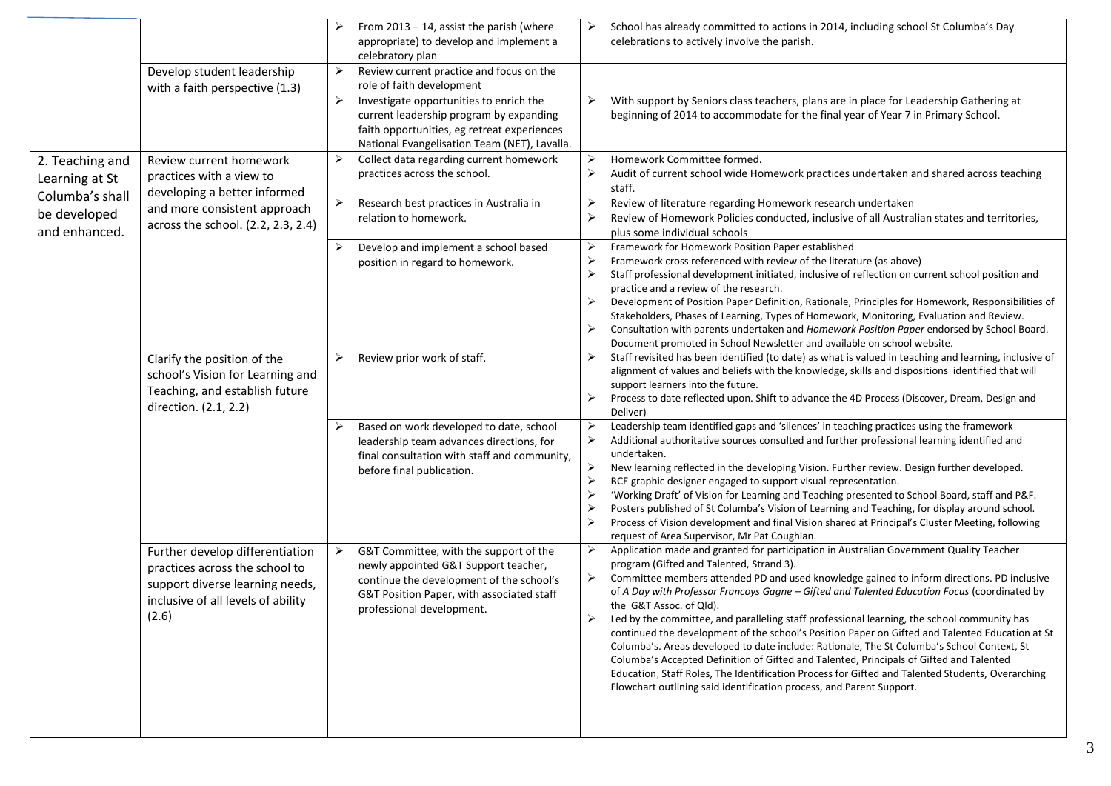|                 |                                    | ➤ | From $2013 - 14$ , assist the parish (where<br>appropriate) to develop and implement a | ➤                     | School has already committed to actions in 2014, including school St Columba's Day<br>celebrations to actively involve the parish.                                                                         |
|-----------------|------------------------------------|---|----------------------------------------------------------------------------------------|-----------------------|------------------------------------------------------------------------------------------------------------------------------------------------------------------------------------------------------------|
|                 |                                    |   | celebratory plan                                                                       |                       |                                                                                                                                                                                                            |
|                 | Develop student leadership         | ➤ | Review current practice and focus on the                                               |                       |                                                                                                                                                                                                            |
|                 | with a faith perspective (1.3)     | ≻ | role of faith development<br>Investigate opportunities to enrich the                   |                       | With support by Seniors class teachers, plans are in place for Leadership Gathering at                                                                                                                     |
|                 |                                    |   | current leadership program by expanding                                                |                       | beginning of 2014 to accommodate for the final year of Year 7 in Primary School.                                                                                                                           |
|                 |                                    |   | faith opportunities, eg retreat experiences                                            |                       |                                                                                                                                                                                                            |
|                 |                                    |   | National Evangelisation Team (NET), Lavalla.                                           |                       |                                                                                                                                                                                                            |
| 2. Teaching and | Review current homework            | ➤ | Collect data regarding current homework                                                | ➤                     | Homework Committee formed.                                                                                                                                                                                 |
| Learning at St  | practices with a view to           |   | practices across the school.                                                           | $\blacktriangleright$ | Audit of current school wide Homework practices undertaken and shared across teaching                                                                                                                      |
| Columba's shall | developing a better informed       |   |                                                                                        |                       | staff.                                                                                                                                                                                                     |
|                 | and more consistent approach       | ≻ | Research best practices in Australia in                                                | ➤                     | Review of literature regarding Homework research undertaken                                                                                                                                                |
| be developed    | across the school. (2.2, 2.3, 2.4) |   | relation to homework.                                                                  | ➤                     | Review of Homework Policies conducted, inclusive of all Australian states and territories,                                                                                                                 |
| and enhanced.   |                                    |   |                                                                                        |                       | plus some individual schools                                                                                                                                                                               |
|                 |                                    | ➤ | Develop and implement a school based                                                   | ➤<br>≻                | Framework for Homework Position Paper established<br>Framework cross referenced with review of the literature (as above)                                                                                   |
|                 |                                    |   | position in regard to homework.                                                        | ≻                     | Staff professional development initiated, inclusive of reflection on current school position and                                                                                                           |
|                 |                                    |   |                                                                                        |                       | practice and a review of the research.                                                                                                                                                                     |
|                 |                                    |   |                                                                                        | ➤                     | Development of Position Paper Definition, Rationale, Principles for Homework, Responsibilities of                                                                                                          |
|                 |                                    |   |                                                                                        |                       | Stakeholders, Phases of Learning, Types of Homework, Monitoring, Evaluation and Review.                                                                                                                    |
|                 |                                    |   |                                                                                        | ➤                     | Consultation with parents undertaken and Homework Position Paper endorsed by School Board.                                                                                                                 |
|                 |                                    |   |                                                                                        |                       | Document promoted in School Newsletter and available on school website.                                                                                                                                    |
|                 | Clarify the position of the        | ➤ | Review prior work of staff.                                                            | ➤                     | Staff revisited has been identified (to date) as what is valued in teaching and learning, inclusive of<br>alignment of values and beliefs with the knowledge, skills and dispositions identified that will |
|                 | school's Vision for Learning and   |   |                                                                                        |                       | support learners into the future.                                                                                                                                                                          |
|                 | Teaching, and establish future     |   |                                                                                        | ➤                     | Process to date reflected upon. Shift to advance the 4D Process (Discover, Dream, Design and                                                                                                               |
|                 | direction. (2.1, 2.2)              |   |                                                                                        |                       | Deliver)                                                                                                                                                                                                   |
|                 |                                    | ➤ | Based on work developed to date, school                                                | ➤                     | Leadership team identified gaps and 'silences' in teaching practices using the framework                                                                                                                   |
|                 |                                    |   | leadership team advances directions, for                                               | ➤                     | Additional authoritative sources consulted and further professional learning identified and                                                                                                                |
|                 |                                    |   | final consultation with staff and community,                                           | ➤                     | undertaken.<br>New learning reflected in the developing Vision. Further review. Design further developed.                                                                                                  |
|                 |                                    |   | before final publication.                                                              | ≻                     | BCE graphic designer engaged to support visual representation.                                                                                                                                             |
|                 |                                    |   |                                                                                        | ≻                     | 'Working Draft' of Vision for Learning and Teaching presented to School Board, staff and P&F.                                                                                                              |
|                 |                                    |   |                                                                                        | ➤                     | Posters published of St Columba's Vision of Learning and Teaching, for display around school.                                                                                                              |
|                 |                                    |   |                                                                                        | ≻                     | Process of Vision development and final Vision shared at Principal's Cluster Meeting, following                                                                                                            |
|                 |                                    |   |                                                                                        |                       | request of Area Supervisor, Mr Pat Coughlan.                                                                                                                                                               |
|                 | Further develop differentiation    | ➤ | G&T Committee, with the support of the                                                 | ➤                     | Application made and granted for participation in Australian Government Quality Teacher                                                                                                                    |
|                 | practices across the school to     |   | newly appointed G&T Support teacher,<br>continue the development of the school's       | ➤                     | program (Gifted and Talented, Strand 3).<br>Committee members attended PD and used knowledge gained to inform directions. PD inclusive                                                                     |
|                 | support diverse learning needs,    |   | G&T Position Paper, with associated staff                                              |                       | of A Day with Professor Francoys Gagne - Gifted and Talented Education Focus (coordinated by                                                                                                               |
|                 | inclusive of all levels of ability |   | professional development.                                                              |                       | the G&T Assoc. of Qld).                                                                                                                                                                                    |
|                 | (2.6)                              |   |                                                                                        |                       | Led by the committee, and paralleling staff professional learning, the school community has                                                                                                                |
|                 |                                    |   |                                                                                        |                       | continued the development of the school's Position Paper on Gifted and Talented Education at St                                                                                                            |
|                 |                                    |   |                                                                                        |                       | Columba's. Areas developed to date include: Rationale, The St Columba's School Context, St                                                                                                                 |
|                 |                                    |   |                                                                                        |                       | Columba's Accepted Definition of Gifted and Talented, Principals of Gifted and Talented<br>Education, Staff Roles, The Identification Process for Gifted and Talented Students, Overarching                |
|                 |                                    |   |                                                                                        |                       | Flowchart outlining said identification process, and Parent Support.                                                                                                                                       |
|                 |                                    |   |                                                                                        |                       |                                                                                                                                                                                                            |
|                 |                                    |   |                                                                                        |                       |                                                                                                                                                                                                            |
|                 |                                    |   |                                                                                        |                       |                                                                                                                                                                                                            |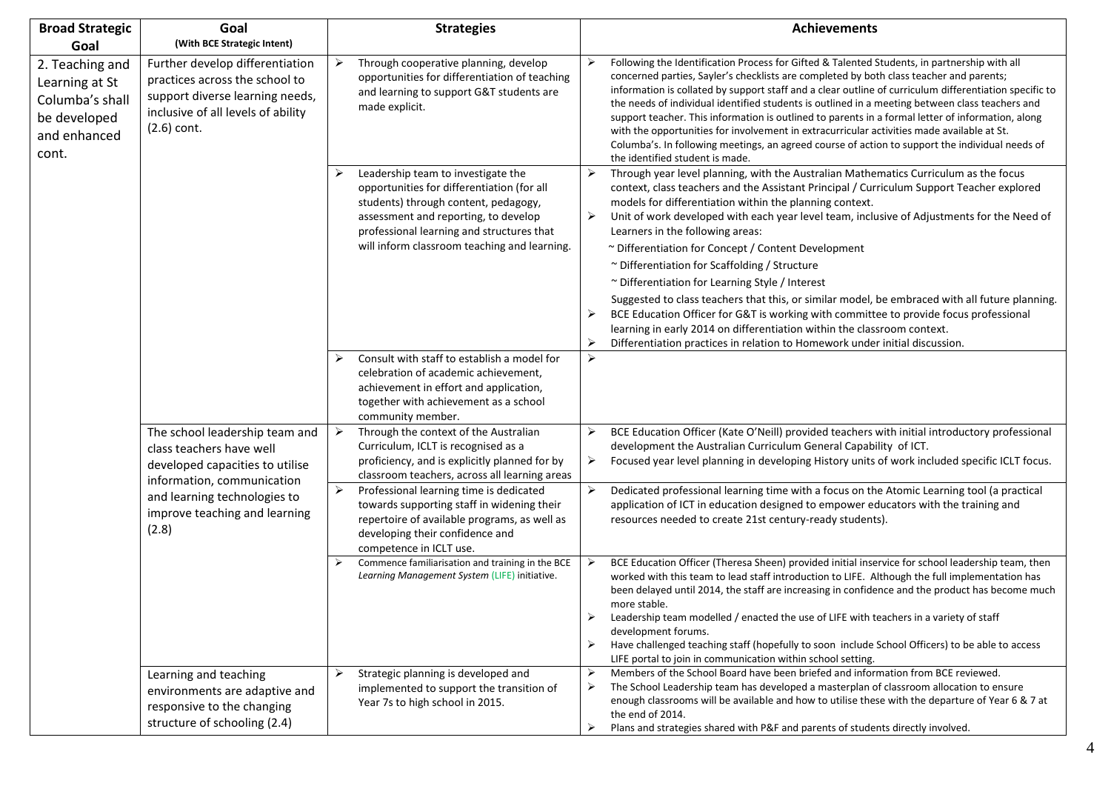| <b>Broad Strategic</b>                                                                        | Goal                                                                                                                                                        | <b>Strategies</b>                                                                                                                                                                                                                                             |                                 | Achievements                                                                                                                                                                                                                                                                                                                                                                                                                                                                                                                                                                                                                                                                                                                                                                                                                                                                                   |
|-----------------------------------------------------------------------------------------------|-------------------------------------------------------------------------------------------------------------------------------------------------------------|---------------------------------------------------------------------------------------------------------------------------------------------------------------------------------------------------------------------------------------------------------------|---------------------------------|------------------------------------------------------------------------------------------------------------------------------------------------------------------------------------------------------------------------------------------------------------------------------------------------------------------------------------------------------------------------------------------------------------------------------------------------------------------------------------------------------------------------------------------------------------------------------------------------------------------------------------------------------------------------------------------------------------------------------------------------------------------------------------------------------------------------------------------------------------------------------------------------|
| Goal                                                                                          | (With BCE Strategic Intent)                                                                                                                                 |                                                                                                                                                                                                                                                               |                                 |                                                                                                                                                                                                                                                                                                                                                                                                                                                                                                                                                                                                                                                                                                                                                                                                                                                                                                |
| 2. Teaching and<br>Learning at St<br>Columba's shall<br>be developed<br>and enhanced<br>cont. | Further develop differentiation<br>practices across the school to<br>support diverse learning needs,<br>inclusive of all levels of ability<br>$(2.6)$ cont. | ➤<br>Through cooperative planning, develop<br>opportunities for differentiation of teaching<br>and learning to support G&T students are<br>made explicit.                                                                                                     |                                 | Following the Identification Process for Gifted & Talented Students, in partnership with all<br>concerned parties, Sayler's checklists are completed by both class teacher and parents;<br>information is collated by support staff and a clear outline of curriculum differentiation specific to<br>the needs of individual identified students is outlined in a meeting between class teachers and<br>support teacher. This information is outlined to parents in a formal letter of information, along<br>with the opportunities for involvement in extracurricular activities made available at St.<br>Columba's. In following meetings, an agreed course of action to support the individual needs of<br>the identified student is made.                                                                                                                                                  |
|                                                                                               |                                                                                                                                                             | Leadership team to investigate the<br>opportunities for differentiation (for all<br>students) through content, pedagogy,<br>assessment and reporting, to develop<br>professional learning and structures that<br>will inform classroom teaching and learning. | ➤<br>➤<br>≻<br>≻                | Through year level planning, with the Australian Mathematics Curriculum as the focus<br>context, class teachers and the Assistant Principal / Curriculum Support Teacher explored<br>models for differentiation within the planning context.<br>Unit of work developed with each year level team, inclusive of Adjustments for the Need of<br>Learners in the following areas:<br>~ Differentiation for Concept / Content Development<br>~ Differentiation for Scaffolding / Structure<br>~ Differentiation for Learning Style / Interest<br>Suggested to class teachers that this, or similar model, be embraced with all future planning.<br>BCE Education Officer for G&T is working with committee to provide focus professional<br>learning in early 2014 on differentiation within the classroom context.<br>Differentiation practices in relation to Homework under initial discussion. |
|                                                                                               |                                                                                                                                                             | Consult with staff to establish a model for<br>➤<br>celebration of academic achievement,<br>achievement in effort and application,<br>together with achievement as a school<br>community member.                                                              | ≻                               |                                                                                                                                                                                                                                                                                                                                                                                                                                                                                                                                                                                                                                                                                                                                                                                                                                                                                                |
|                                                                                               | The school leadership team and<br>class teachers have well<br>developed capacities to utilise                                                               | ➤<br>Through the context of the Australian<br>Curriculum, ICLT is recognised as a<br>proficiency, and is explicitly planned for by<br>classroom teachers, across all learning areas                                                                           | ➤<br>➤                          | BCE Education Officer (Kate O'Neill) provided teachers with initial introductory professional<br>development the Australian Curriculum General Capability of ICT.<br>Focused year level planning in developing History units of work included specific ICLT focus.                                                                                                                                                                                                                                                                                                                                                                                                                                                                                                                                                                                                                             |
|                                                                                               | information, communication<br>and learning technologies to<br>improve teaching and learning<br>(2.8)                                                        | $\blacktriangleright$<br>Professional learning time is dedicated<br>towards supporting staff in widening their<br>repertoire of available programs, as well as<br>developing their confidence and<br>competence in ICLT use.                                  | ≻                               | Dedicated professional learning time with a focus on the Atomic Learning tool (a practical<br>application of ICT in education designed to empower educators with the training and<br>resources needed to create 21st century-ready students).                                                                                                                                                                                                                                                                                                                                                                                                                                                                                                                                                                                                                                                  |
|                                                                                               |                                                                                                                                                             | Commence familiarisation and training in the BCE<br>➤<br>Learning Management System (LIFE) initiative.                                                                                                                                                        | $\blacktriangleright$<br>➤<br>➤ | BCE Education Officer (Theresa Sheen) provided initial inservice for school leadership team, then<br>worked with this team to lead staff introduction to LIFE. Although the full implementation has<br>been delayed until 2014, the staff are increasing in confidence and the product has become much<br>more stable.<br>Leadership team modelled / enacted the use of LIFE with teachers in a variety of staff<br>development forums.<br>Have challenged teaching staff (hopefully to soon include School Officers) to be able to access<br>LIFE portal to join in communication within school setting.                                                                                                                                                                                                                                                                                      |
|                                                                                               | Learning and teaching<br>environments are adaptive and<br>responsive to the changing<br>structure of schooling (2.4)                                        | Strategic planning is developed and<br>➤<br>implemented to support the transition of<br>Year 7s to high school in 2015.                                                                                                                                       | ➤<br>$\blacktriangleright$<br>≻ | Members of the School Board have been briefed and information from BCE reviewed.<br>The School Leadership team has developed a masterplan of classroom allocation to ensure<br>enough classrooms will be available and how to utilise these with the departure of Year 6 & 7 at<br>the end of 2014.<br>Plans and strategies shared with P&F and parents of students directly involved.                                                                                                                                                                                                                                                                                                                                                                                                                                                                                                         |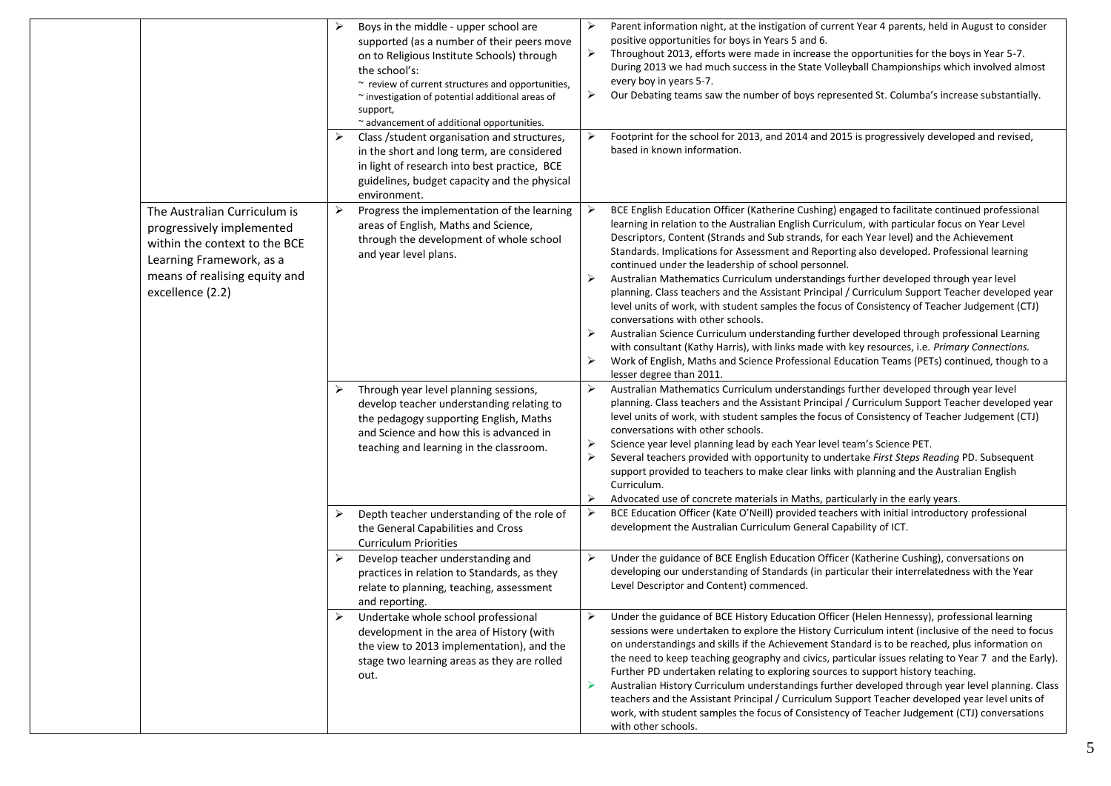|                                                                                                                                                                             | ➤ | Boys in the middle - upper school are<br>supported (as a number of their peers move                                                                                                                                | ➤                                                      | Parent information night, at the instigation of current Year 4 parents, held in August to consider<br>positive opportunities for boys in Years 5 and 6.<br>Throughout 2013, efforts were made in increase the opportunities for the boys in Year 5-7.                                                                                                                                                                                                                                                                                                                                                                                                                                                                                                                                                                                                                                                                                                                                                                                                                                                            |
|-----------------------------------------------------------------------------------------------------------------------------------------------------------------------------|---|--------------------------------------------------------------------------------------------------------------------------------------------------------------------------------------------------------------------|--------------------------------------------------------|------------------------------------------------------------------------------------------------------------------------------------------------------------------------------------------------------------------------------------------------------------------------------------------------------------------------------------------------------------------------------------------------------------------------------------------------------------------------------------------------------------------------------------------------------------------------------------------------------------------------------------------------------------------------------------------------------------------------------------------------------------------------------------------------------------------------------------------------------------------------------------------------------------------------------------------------------------------------------------------------------------------------------------------------------------------------------------------------------------------|
|                                                                                                                                                                             |   | the school's:<br>~ review of current structures and opportunities,<br>~ investigation of potential additional areas of                                                                                             | ➤                                                      | During 2013 we had much success in the State Volleyball Championships which involved almost<br>every boy in years 5-7.<br>Our Debating teams saw the number of boys represented St. Columba's increase substantially.                                                                                                                                                                                                                                                                                                                                                                                                                                                                                                                                                                                                                                                                                                                                                                                                                                                                                            |
|                                                                                                                                                                             |   | ~ advancement of additional opportunities.                                                                                                                                                                         |                                                        |                                                                                                                                                                                                                                                                                                                                                                                                                                                                                                                                                                                                                                                                                                                                                                                                                                                                                                                                                                                                                                                                                                                  |
|                                                                                                                                                                             |   | Class / student organisation and structures,<br>in the short and long term, are considered<br>in light of research into best practice, BCE<br>guidelines, budget capacity and the physical<br>environment.         |                                                        | Footprint for the school for 2013, and 2014 and 2015 is progressively developed and revised,<br>based in known information.                                                                                                                                                                                                                                                                                                                                                                                                                                                                                                                                                                                                                                                                                                                                                                                                                                                                                                                                                                                      |
| The Australian Curriculum is<br>progressively implemented<br>within the context to the BCE<br>Learning Framework, as a<br>means of realising equity and<br>excellence (2.2) | ≻ | Progress the implementation of the learning<br>areas of English, Maths and Science,<br>through the development of whole school<br>and year level plans.                                                            | ➤<br>➤<br>➤                                            | BCE English Education Officer (Katherine Cushing) engaged to facilitate continued professional<br>learning in relation to the Australian English Curriculum, with particular focus on Year Level<br>Descriptors, Content (Strands and Sub strands, for each Year level) and the Achievement<br>Standards. Implications for Assessment and Reporting also developed. Professional learning<br>continued under the leadership of school personnel.<br>Australian Mathematics Curriculum understandings further developed through year level<br>planning. Class teachers and the Assistant Principal / Curriculum Support Teacher developed year<br>level units of work, with student samples the focus of Consistency of Teacher Judgement (CTJ)<br>conversations with other schools.<br>Australian Science Curriculum understanding further developed through professional Learning<br>with consultant (Kathy Harris), with links made with key resources, i.e. Primary Connections.<br>Work of English, Maths and Science Professional Education Teams (PETs) continued, though to a<br>lesser degree than 2011. |
|                                                                                                                                                                             |   | Through year level planning sessions,<br>develop teacher understanding relating to<br>the pedagogy supporting English, Maths<br>and Science and how this is advanced in<br>teaching and learning in the classroom. | ➤<br>⋗<br>⋗<br>≻                                       | Australian Mathematics Curriculum understandings further developed through year level<br>planning. Class teachers and the Assistant Principal / Curriculum Support Teacher developed year<br>level units of work, with student samples the focus of Consistency of Teacher Judgement (CTJ)<br>conversations with other schools.<br>Science year level planning lead by each Year level team's Science PET.<br>Several teachers provided with opportunity to undertake First Steps Reading PD. Subsequent<br>support provided to teachers to make clear links with planning and the Australian English<br>Curriculum.<br>Advocated use of concrete materials in Maths, particularly in the early years.                                                                                                                                                                                                                                                                                                                                                                                                           |
|                                                                                                                                                                             | ⋗ | Depth teacher understanding of the role of<br>the General Capabilities and Cross<br><b>Curriculum Priorities</b>                                                                                                   | ➤                                                      | BCE Education Officer (Kate O'Neill) provided teachers with initial introductory professional<br>development the Australian Curriculum General Capability of ICT.                                                                                                                                                                                                                                                                                                                                                                                                                                                                                                                                                                                                                                                                                                                                                                                                                                                                                                                                                |
|                                                                                                                                                                             | ➤ | Develop teacher understanding and<br>practices in relation to Standards, as they<br>relate to planning, teaching, assessment<br>and reporting.                                                                     | ➤                                                      | Under the guidance of BCE English Education Officer (Katherine Cushing), conversations on<br>developing our understanding of Standards (in particular their interrelatedness with the Year<br>Level Descriptor and Content) commenced.                                                                                                                                                                                                                                                                                                                                                                                                                                                                                                                                                                                                                                                                                                                                                                                                                                                                           |
|                                                                                                                                                                             |   | Undertake whole school professional<br>development in the area of History (with<br>the view to 2013 implementation), and the<br>stage two learning areas as they are rolled<br>out.                                | ➤                                                      | Under the guidance of BCE History Education Officer (Helen Hennessy), professional learning<br>sessions were undertaken to explore the History Curriculum intent (inclusive of the need to focus<br>on understandings and skills if the Achievement Standard is to be reached, plus information on<br>the need to keep teaching geography and civics, particular issues relating to Year 7 and the Early).<br>Further PD undertaken relating to exploring sources to support history teaching.<br>Australian History Curriculum understandings further developed through year level planning. Class<br>teachers and the Assistant Principal / Curriculum Support Teacher developed year level units of<br>work, with student samples the focus of Consistency of Teacher Judgement (CTJ) conversations<br>with other schools.                                                                                                                                                                                                                                                                                    |
|                                                                                                                                                                             |   |                                                                                                                                                                                                                    | on to Religious Institute Schools) through<br>support, |                                                                                                                                                                                                                                                                                                                                                                                                                                                                                                                                                                                                                                                                                                                                                                                                                                                                                                                                                                                                                                                                                                                  |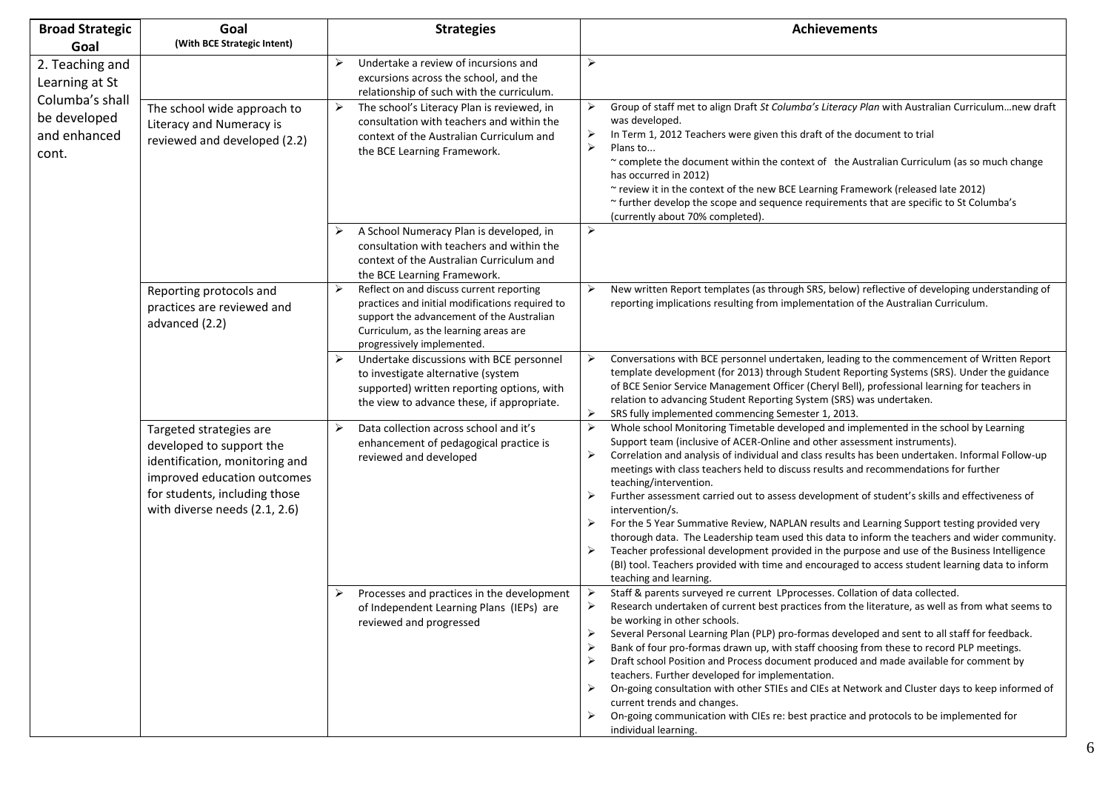| <b>Broad Strategic</b>                                   | Goal<br>(With BCE Strategic Intent)                                                                                                                                                    | <b>Strategies</b>                                                                                                                                                                                                    | <b>Achievements</b>                                                                                                                                                                                                                                                                                                                                                                                                                                                                                                                                                                                                                                                                                                                                                                                                                                                                                                                                                          |
|----------------------------------------------------------|----------------------------------------------------------------------------------------------------------------------------------------------------------------------------------------|----------------------------------------------------------------------------------------------------------------------------------------------------------------------------------------------------------------------|------------------------------------------------------------------------------------------------------------------------------------------------------------------------------------------------------------------------------------------------------------------------------------------------------------------------------------------------------------------------------------------------------------------------------------------------------------------------------------------------------------------------------------------------------------------------------------------------------------------------------------------------------------------------------------------------------------------------------------------------------------------------------------------------------------------------------------------------------------------------------------------------------------------------------------------------------------------------------|
| Goal<br>2. Teaching and<br>Learning at St                |                                                                                                                                                                                        | ≻<br>Undertake a review of incursions and<br>excursions across the school, and the<br>relationship of such with the curriculum.                                                                                      | $\blacktriangleright$                                                                                                                                                                                                                                                                                                                                                                                                                                                                                                                                                                                                                                                                                                                                                                                                                                                                                                                                                        |
| Columba's shall<br>be developed<br>and enhanced<br>cont. | The school wide approach to<br>Literacy and Numeracy is<br>reviewed and developed (2.2)                                                                                                | ➤<br>The school's Literacy Plan is reviewed, in<br>consultation with teachers and within the<br>context of the Australian Curriculum and<br>the BCE Learning Framework.                                              | Group of staff met to align Draft St Columba's Literacy Plan with Australian Curriculumnew draft<br>≻<br>was developed.<br>➤<br>In Term 1, 2012 Teachers were given this draft of the document to trial<br>$\blacktriangleright$<br>Plans to<br>~ complete the document within the context of the Australian Curriculum (as so much change<br>has occurred in 2012)<br>~ review it in the context of the new BCE Learning Framework (released late 2012)<br>~ further develop the scope and sequence requirements that are specific to St Columba's<br>(currently about 70% completed).                                                                                                                                                                                                                                                                                                                                                                                      |
|                                                          |                                                                                                                                                                                        | A School Numeracy Plan is developed, in<br>➤<br>consultation with teachers and within the<br>context of the Australian Curriculum and<br>the BCE Learning Framework.                                                 | $\blacktriangleright$                                                                                                                                                                                                                                                                                                                                                                                                                                                                                                                                                                                                                                                                                                                                                                                                                                                                                                                                                        |
|                                                          | Reporting protocols and<br>practices are reviewed and<br>advanced (2.2)                                                                                                                | Reflect on and discuss current reporting<br>➤<br>practices and initial modifications required to<br>support the advancement of the Australian<br>Curriculum, as the learning areas are<br>progressively implemented. | New written Report templates (as through SRS, below) reflective of developing understanding of<br>➤<br>reporting implications resulting from implementation of the Australian Curriculum.                                                                                                                                                                                                                                                                                                                                                                                                                                                                                                                                                                                                                                                                                                                                                                                    |
|                                                          |                                                                                                                                                                                        | Undertake discussions with BCE personnel<br>➤<br>to investigate alternative (system<br>supported) written reporting options, with<br>the view to advance these, if appropriate.                                      | Conversations with BCE personnel undertaken, leading to the commencement of Written Report<br>➤<br>template development (for 2013) through Student Reporting Systems (SRS). Under the guidance<br>of BCE Senior Service Management Officer (Cheryl Bell), professional learning for teachers in<br>relation to advancing Student Reporting System (SRS) was undertaken.<br>$\blacktriangleright$<br>SRS fully implemented commencing Semester 1, 2013.                                                                                                                                                                                                                                                                                                                                                                                                                                                                                                                       |
|                                                          | Targeted strategies are<br>developed to support the<br>identification, monitoring and<br>improved education outcomes<br>for students, including those<br>with diverse needs (2.1, 2.6) | ≻<br>Data collection across school and it's<br>enhancement of pedagogical practice is<br>reviewed and developed                                                                                                      | $\blacktriangleright$<br>Whole school Monitoring Timetable developed and implemented in the school by Learning<br>Support team (inclusive of ACER-Online and other assessment instruments).<br>Correlation and analysis of individual and class results has been undertaken. Informal Follow-up<br>≻<br>meetings with class teachers held to discuss results and recommendations for further<br>teaching/intervention.<br>Further assessment carried out to assess development of student's skills and effectiveness of<br>intervention/s.<br>For the 5 Year Summative Review, NAPLAN results and Learning Support testing provided very<br>thorough data. The Leadership team used this data to inform the teachers and wider community.<br>Teacher professional development provided in the purpose and use of the Business Intelligence<br>➤<br>(BI) tool. Teachers provided with time and encouraged to access student learning data to inform<br>teaching and learning. |
|                                                          |                                                                                                                                                                                        | Processes and practices in the development<br>of Independent Learning Plans (IEPs) are<br>reviewed and progressed                                                                                                    | Staff & parents surveyed re current LPprocesses. Collation of data collected.<br>➤<br>➤<br>Research undertaken of current best practices from the literature, as well as from what seems to<br>be working in other schools.<br>Several Personal Learning Plan (PLP) pro-formas developed and sent to all staff for feedback.<br>Bank of four pro-formas drawn up, with staff choosing from these to record PLP meetings.<br>➤<br>Draft school Position and Process document produced and made available for comment by<br>➤<br>teachers. Further developed for implementation.<br>On-going consultation with other STIEs and CIEs at Network and Cluster days to keep informed of<br>➤<br>current trends and changes.<br>On-going communication with CIEs re: best practice and protocols to be implemented for<br>➤<br>individual learning.                                                                                                                                 |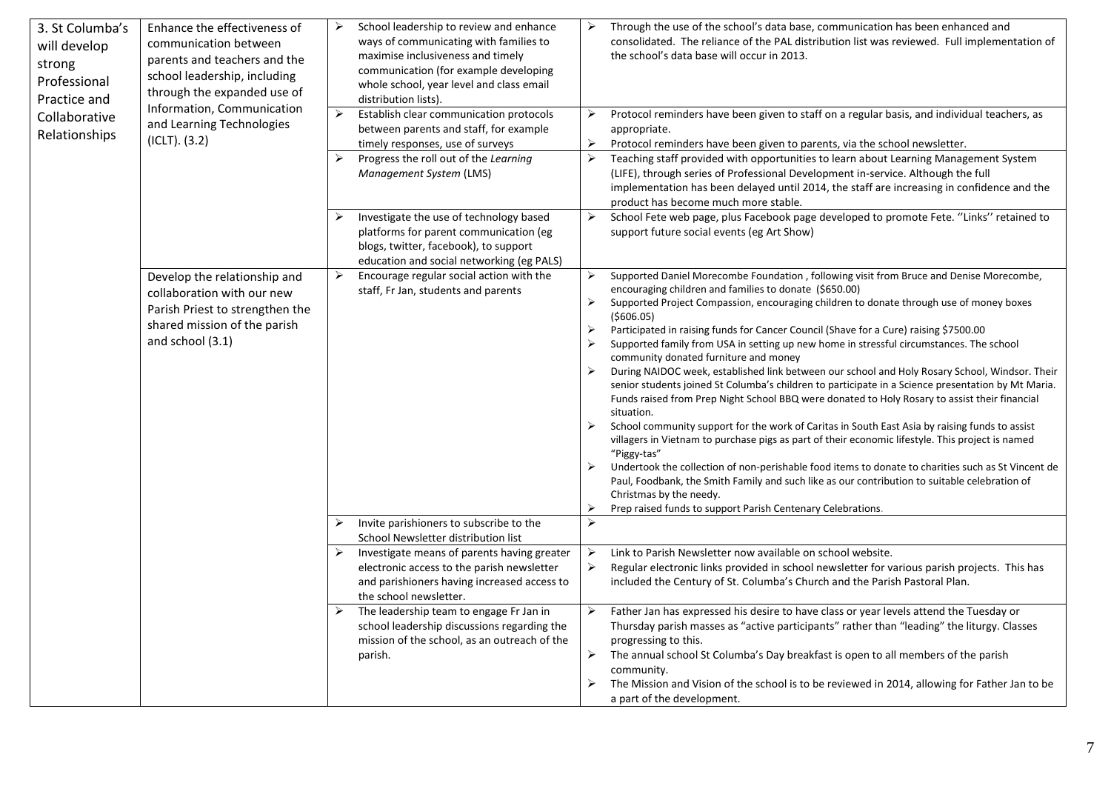| 3. St Columba's<br>will develop<br>strong<br>Professional<br>Practice and<br>Collaborative<br>Relationships | Enhance the effectiveness of<br>communication between<br>parents and teachers and the<br>school leadership, including<br>through the expanded use of<br>Information, Communication<br>and Learning Technologies<br>$(ICLT)$ . $(3.2)$ | ➤<br>$\blacktriangleright$<br>$\blacktriangleright$ | School leadership to review and enhance<br>ways of communicating with families to<br>maximise inclusiveness and timely<br>communication (for example developing<br>whole school, year level and class email<br>distribution lists).<br>Establish clear communication protocols<br>between parents and staff, for example<br>timely responses, use of surveys<br>Progress the roll out of the Learning<br>Management System (LMS) | ⋗<br>$\triangleright$<br>➤                                                                                                                                                       | Through the use of the school's data base, communication has been enhanced and<br>consolidated. The reliance of the PAL distribution list was reviewed. Full implementation of<br>the school's data base will occur in 2013.<br>Protocol reminders have been given to staff on a regular basis, and individual teachers, as<br>appropriate.<br>Protocol reminders have been given to parents, via the school newsletter.<br>Teaching staff provided with opportunities to learn about Learning Management System<br>(LIFE), through series of Professional Development in-service. Although the full                                                                                                                                                                                                                                                                                                                                                                                                                                                                                                                                                                                                                                                                                                                                |
|-------------------------------------------------------------------------------------------------------------|---------------------------------------------------------------------------------------------------------------------------------------------------------------------------------------------------------------------------------------|-----------------------------------------------------|----------------------------------------------------------------------------------------------------------------------------------------------------------------------------------------------------------------------------------------------------------------------------------------------------------------------------------------------------------------------------------------------------------------------------------|----------------------------------------------------------------------------------------------------------------------------------------------------------------------------------|-------------------------------------------------------------------------------------------------------------------------------------------------------------------------------------------------------------------------------------------------------------------------------------------------------------------------------------------------------------------------------------------------------------------------------------------------------------------------------------------------------------------------------------------------------------------------------------------------------------------------------------------------------------------------------------------------------------------------------------------------------------------------------------------------------------------------------------------------------------------------------------------------------------------------------------------------------------------------------------------------------------------------------------------------------------------------------------------------------------------------------------------------------------------------------------------------------------------------------------------------------------------------------------------------------------------------------------|
|                                                                                                             |                                                                                                                                                                                                                                       |                                                     |                                                                                                                                                                                                                                                                                                                                                                                                                                  |                                                                                                                                                                                  | implementation has been delayed until 2014, the staff are increasing in confidence and the<br>product has become much more stable.                                                                                                                                                                                                                                                                                                                                                                                                                                                                                                                                                                                                                                                                                                                                                                                                                                                                                                                                                                                                                                                                                                                                                                                                  |
|                                                                                                             |                                                                                                                                                                                                                                       | ➤                                                   | Investigate the use of technology based<br>platforms for parent communication (eg<br>blogs, twitter, facebook), to support<br>education and social networking (eg PALS)                                                                                                                                                                                                                                                          | $\blacktriangleright$                                                                                                                                                            | School Fete web page, plus Facebook page developed to promote Fete. "Links" retained to<br>support future social events (eg Art Show)                                                                                                                                                                                                                                                                                                                                                                                                                                                                                                                                                                                                                                                                                                                                                                                                                                                                                                                                                                                                                                                                                                                                                                                               |
|                                                                                                             | Develop the relationship and<br>collaboration with our new<br>Parish Priest to strengthen the<br>shared mission of the parish<br>and school (3.1)                                                                                     | ➤                                                   | Encourage regular social action with the<br>staff, Fr Jan, students and parents                                                                                                                                                                                                                                                                                                                                                  | $\blacktriangleright$<br>$\blacktriangleright$<br>$\blacktriangleright$<br>$\blacktriangleright$<br>$\blacktriangleright$<br>$\blacktriangleright$<br>➤<br>$\blacktriangleright$ | Supported Daniel Morecombe Foundation, following visit from Bruce and Denise Morecombe,<br>encouraging children and families to donate (\$650.00)<br>Supported Project Compassion, encouraging children to donate through use of money boxes<br>(5606.05)<br>Participated in raising funds for Cancer Council (Shave for a Cure) raising \$7500.00<br>Supported family from USA in setting up new home in stressful circumstances. The school<br>community donated furniture and money<br>During NAIDOC week, established link between our school and Holy Rosary School, Windsor. Their<br>senior students joined St Columba's children to participate in a Science presentation by Mt Maria.<br>Funds raised from Prep Night School BBQ were donated to Holy Rosary to assist their financial<br>situation.<br>School community support for the work of Caritas in South East Asia by raising funds to assist<br>villagers in Vietnam to purchase pigs as part of their economic lifestyle. This project is named<br>"Piggy-tas"<br>Undertook the collection of non-perishable food items to donate to charities such as St Vincent de<br>Paul, Foodbank, the Smith Family and such like as our contribution to suitable celebration of<br>Christmas by the needy.<br>Prep raised funds to support Parish Centenary Celebrations. |
|                                                                                                             |                                                                                                                                                                                                                                       |                                                     | Invite parishioners to subscribe to the<br>School Newsletter distribution list<br>Investigate means of parents having greater                                                                                                                                                                                                                                                                                                    | $\blacktriangleright$<br>➤                                                                                                                                                       | Link to Parish Newsletter now available on school website.                                                                                                                                                                                                                                                                                                                                                                                                                                                                                                                                                                                                                                                                                                                                                                                                                                                                                                                                                                                                                                                                                                                                                                                                                                                                          |
|                                                                                                             |                                                                                                                                                                                                                                       |                                                     | electronic access to the parish newsletter<br>and parishioners having increased access to<br>the school newsletter.                                                                                                                                                                                                                                                                                                              | ➤                                                                                                                                                                                | Regular electronic links provided in school newsletter for various parish projects. This has<br>included the Century of St. Columba's Church and the Parish Pastoral Plan.                                                                                                                                                                                                                                                                                                                                                                                                                                                                                                                                                                                                                                                                                                                                                                                                                                                                                                                                                                                                                                                                                                                                                          |
|                                                                                                             |                                                                                                                                                                                                                                       |                                                     | The leadership team to engage Fr Jan in<br>school leadership discussions regarding the<br>mission of the school, as an outreach of the<br>parish.                                                                                                                                                                                                                                                                                | $\blacktriangleright$<br>$\blacktriangleright$                                                                                                                                   | Father Jan has expressed his desire to have class or year levels attend the Tuesday or<br>Thursday parish masses as "active participants" rather than "leading" the liturgy. Classes<br>progressing to this.<br>The annual school St Columba's Day breakfast is open to all members of the parish<br>community.<br>The Mission and Vision of the school is to be reviewed in 2014, allowing for Father Jan to be<br>a part of the development.                                                                                                                                                                                                                                                                                                                                                                                                                                                                                                                                                                                                                                                                                                                                                                                                                                                                                      |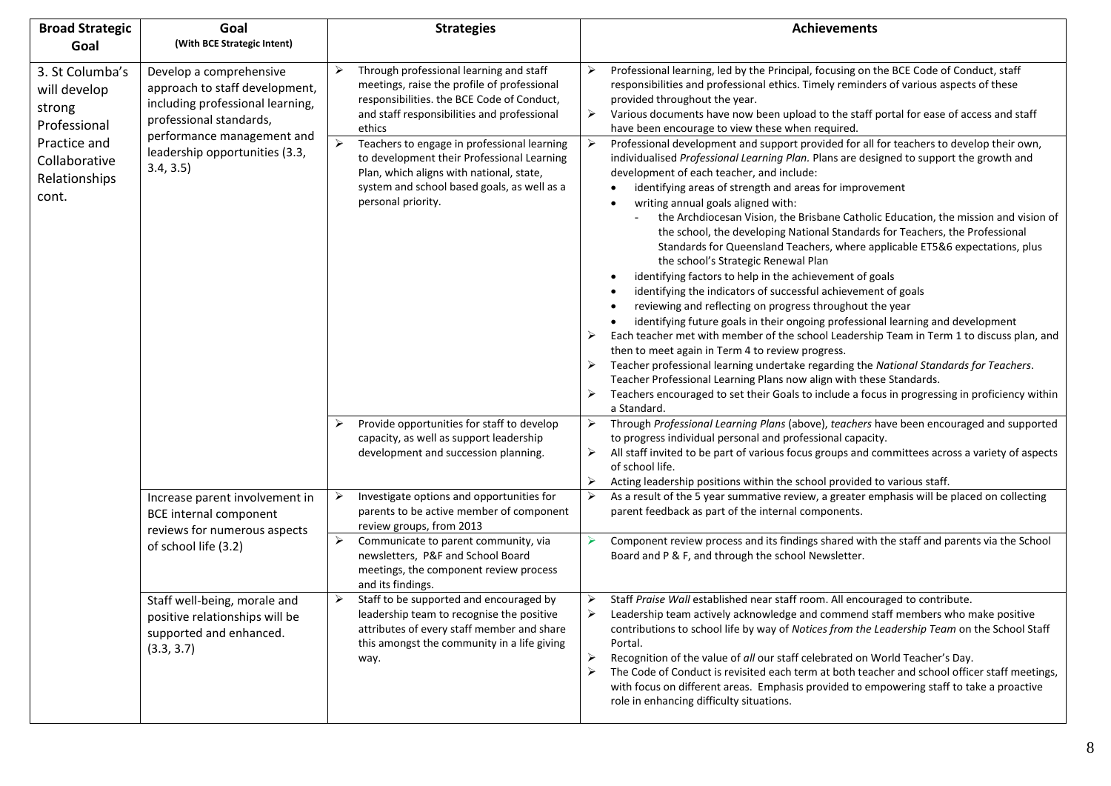| <b>Broad Strategic</b>                                    | Goal                                                                                                                                                   | <b>Strategies</b>                                                                                                                                                                                                                   | <b>Achievements</b>                                                                                                                                                                                                                                                                                                                                                                                                                                                                                                                                                                                                                                                                                                                                                                                                                                                                                                                                                                                                                                                                                                                                                                                                                                                                                                                                     |
|-----------------------------------------------------------|--------------------------------------------------------------------------------------------------------------------------------------------------------|-------------------------------------------------------------------------------------------------------------------------------------------------------------------------------------------------------------------------------------|---------------------------------------------------------------------------------------------------------------------------------------------------------------------------------------------------------------------------------------------------------------------------------------------------------------------------------------------------------------------------------------------------------------------------------------------------------------------------------------------------------------------------------------------------------------------------------------------------------------------------------------------------------------------------------------------------------------------------------------------------------------------------------------------------------------------------------------------------------------------------------------------------------------------------------------------------------------------------------------------------------------------------------------------------------------------------------------------------------------------------------------------------------------------------------------------------------------------------------------------------------------------------------------------------------------------------------------------------------|
| Goal                                                      | (With BCE Strategic Intent)                                                                                                                            |                                                                                                                                                                                                                                     |                                                                                                                                                                                                                                                                                                                                                                                                                                                                                                                                                                                                                                                                                                                                                                                                                                                                                                                                                                                                                                                                                                                                                                                                                                                                                                                                                         |
| 3. St Columba's<br>will develop<br>strong<br>Professional | Develop a comprehensive<br>approach to staff development,<br>including professional learning,<br>professional standards,<br>performance management and | Through professional learning and staff<br>➤<br>meetings, raise the profile of professional<br>responsibilities. the BCE Code of Conduct,<br>and staff responsibilities and professional<br>ethics                                  | Professional learning, led by the Principal, focusing on the BCE Code of Conduct, staff<br>⋗<br>responsibilities and professional ethics. Timely reminders of various aspects of these<br>provided throughout the year.<br>Various documents have now been upload to the staff portal for ease of access and staff<br>➤<br>have been encourage to view these when required.                                                                                                                                                                                                                                                                                                                                                                                                                                                                                                                                                                                                                                                                                                                                                                                                                                                                                                                                                                             |
| Practice and<br>Collaborative<br>Relationships<br>cont.   | leadership opportunities (3.3,<br>3.4, 3.5)                                                                                                            | $\blacktriangleright$<br>Teachers to engage in professional learning<br>to development their Professional Learning<br>Plan, which aligns with national, state,<br>system and school based goals, as well as a<br>personal priority. | ➤<br>Professional development and support provided for all for teachers to develop their own,<br>individualised Professional Learning Plan. Plans are designed to support the growth and<br>development of each teacher, and include:<br>identifying areas of strength and areas for improvement<br>writing annual goals aligned with:<br>the Archdiocesan Vision, the Brisbane Catholic Education, the mission and vision of<br>the school, the developing National Standards for Teachers, the Professional<br>Standards for Queensland Teachers, where applicable ET5&6 expectations, plus<br>the school's Strategic Renewal Plan<br>identifying factors to help in the achievement of goals<br>identifying the indicators of successful achievement of goals<br>reviewing and reflecting on progress throughout the year<br>identifying future goals in their ongoing professional learning and development<br>Each teacher met with member of the school Leadership Team in Term 1 to discuss plan, and<br>then to meet again in Term 4 to review progress.<br>Teacher professional learning undertake regarding the National Standards for Teachers.<br>Teacher Professional Learning Plans now align with these Standards.<br>Teachers encouraged to set their Goals to include a focus in progressing in proficiency within<br>➤<br>a Standard. |
|                                                           |                                                                                                                                                        | Provide opportunities for staff to develop<br>➤<br>capacity, as well as support leadership<br>development and succession planning.                                                                                                  | Through Professional Learning Plans (above), teachers have been encouraged and supported<br>➤<br>to progress individual personal and professional capacity.<br>All staff invited to be part of various focus groups and committees across a variety of aspects<br>➤<br>of school life.<br>Acting leadership positions within the school provided to various staff.<br>➤                                                                                                                                                                                                                                                                                                                                                                                                                                                                                                                                                                                                                                                                                                                                                                                                                                                                                                                                                                                 |
|                                                           | Increase parent involvement in<br><b>BCE</b> internal component<br>reviews for numerous aspects                                                        | Investigate options and opportunities for<br>➤<br>parents to be active member of component<br>review groups, from 2013                                                                                                              | As a result of the 5 year summative review, a greater emphasis will be placed on collecting<br>➤<br>parent feedback as part of the internal components.                                                                                                                                                                                                                                                                                                                                                                                                                                                                                                                                                                                                                                                                                                                                                                                                                                                                                                                                                                                                                                                                                                                                                                                                 |
|                                                           | of school life (3.2)                                                                                                                                   | ➤<br>Communicate to parent community, via<br>newsletters, P&F and School Board<br>meetings, the component review process<br>and its findings.                                                                                       | Component review process and its findings shared with the staff and parents via the School<br>Board and P & F, and through the school Newsletter.                                                                                                                                                                                                                                                                                                                                                                                                                                                                                                                                                                                                                                                                                                                                                                                                                                                                                                                                                                                                                                                                                                                                                                                                       |
|                                                           | Staff well-being, morale and<br>positive relationships will be<br>supported and enhanced.<br>(3.3, 3.7)                                                | Staff to be supported and encouraged by<br>➤<br>leadership team to recognise the positive<br>attributes of every staff member and share<br>this amongst the community in a life giving<br>way.                                      | Staff Praise Wall established near staff room. All encouraged to contribute.<br>➤<br>Leadership team actively acknowledge and commend staff members who make positive<br>contributions to school life by way of Notices from the Leadership Team on the School Staff<br>Portal.<br>➤<br>Recognition of the value of all our staff celebrated on World Teacher's Day.<br>The Code of Conduct is revisited each term at both teacher and school officer staff meetings,<br>➤<br>with focus on different areas. Emphasis provided to empowering staff to take a proactive<br>role in enhancing difficulty situations.                                                                                                                                                                                                                                                                                                                                                                                                                                                                                                                                                                                                                                                                                                                                      |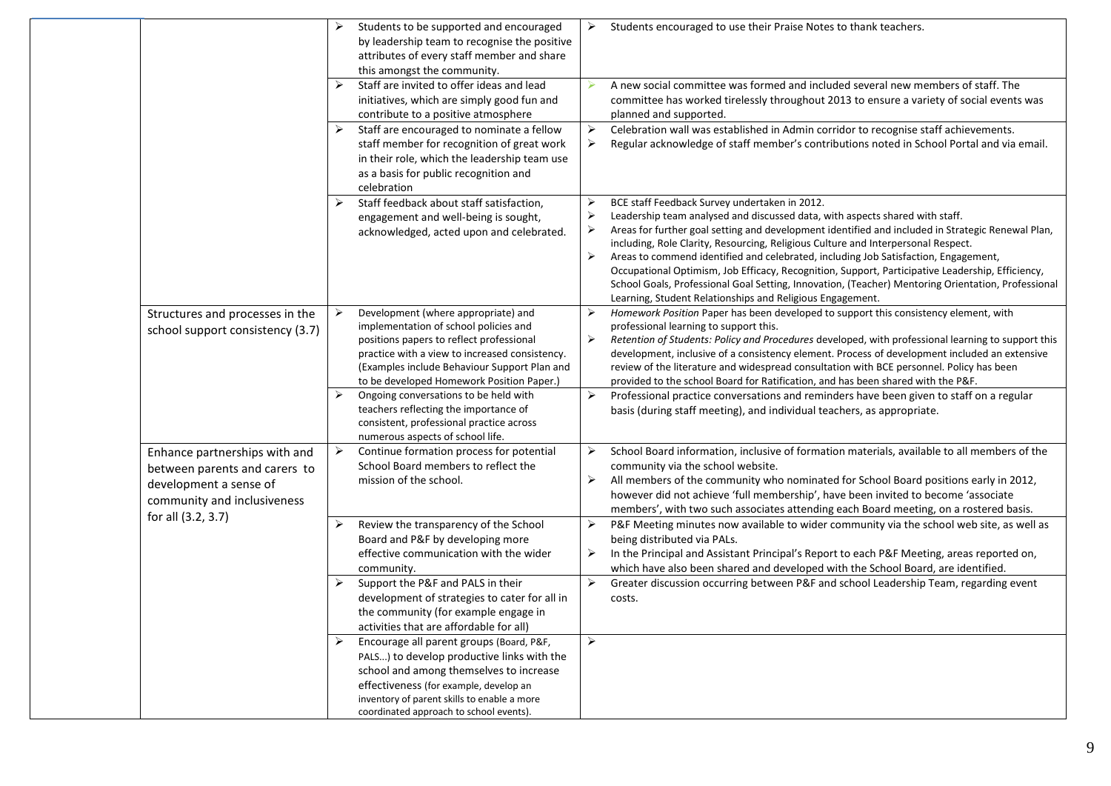|                                                                                                                         | ➤                     | Students to be supported and encouraged<br>by leadership team to recognise the positive<br>attributes of every staff member and share<br>this amongst the community.                                                                                                    | ➤                          | Students encouraged to use their Praise Notes to thank teachers.                                                                                                                                                                                                                                                                                                                                                                                                                                                                                                                                                                                                                      |
|-------------------------------------------------------------------------------------------------------------------------|-----------------------|-------------------------------------------------------------------------------------------------------------------------------------------------------------------------------------------------------------------------------------------------------------------------|----------------------------|---------------------------------------------------------------------------------------------------------------------------------------------------------------------------------------------------------------------------------------------------------------------------------------------------------------------------------------------------------------------------------------------------------------------------------------------------------------------------------------------------------------------------------------------------------------------------------------------------------------------------------------------------------------------------------------|
|                                                                                                                         | ≻                     | Staff are invited to offer ideas and lead<br>initiatives, which are simply good fun and<br>contribute to a positive atmosphere                                                                                                                                          |                            | A new social committee was formed and included several new members of staff. The<br>committee has worked tirelessly throughout 2013 to ensure a variety of social events was<br>planned and supported.                                                                                                                                                                                                                                                                                                                                                                                                                                                                                |
|                                                                                                                         | ➤                     | Staff are encouraged to nominate a fellow<br>staff member for recognition of great work<br>in their role, which the leadership team use<br>as a basis for public recognition and<br>celebration                                                                         | ➤<br>➤                     | Celebration wall was established in Admin corridor to recognise staff achievements.<br>Regular acknowledge of staff member's contributions noted in School Portal and via email.                                                                                                                                                                                                                                                                                                                                                                                                                                                                                                      |
|                                                                                                                         | ➤                     | Staff feedback about staff satisfaction,<br>engagement and well-being is sought,<br>acknowledged, acted upon and celebrated.                                                                                                                                            | ➤<br>➤<br>⋗<br>➤           | BCE staff Feedback Survey undertaken in 2012.<br>Leadership team analysed and discussed data, with aspects shared with staff.<br>Areas for further goal setting and development identified and included in Strategic Renewal Plan,<br>including, Role Clarity, Resourcing, Religious Culture and Interpersonal Respect.<br>Areas to commend identified and celebrated, including Job Satisfaction, Engagement,<br>Occupational Optimism, Job Efficacy, Recognition, Support, Participative Leadership, Efficiency,<br>School Goals, Professional Goal Setting, Innovation, (Teacher) Mentoring Orientation, Professional<br>Learning, Student Relationships and Religious Engagement. |
| Structures and processes in the<br>school support consistency (3.7)                                                     | ➤                     | Development (where appropriate) and<br>implementation of school policies and<br>positions papers to reflect professional<br>practice with a view to increased consistency.<br>(Examples include Behaviour Support Plan and<br>to be developed Homework Position Paper.) | ≻<br>$\blacktriangleright$ | Homework Position Paper has been developed to support this consistency element, with<br>professional learning to support this.<br>Retention of Students: Policy and Procedures developed, with professional learning to support this<br>development, inclusive of a consistency element. Process of development included an extensive<br>review of the literature and widespread consultation with BCE personnel. Policy has been<br>provided to the school Board for Ratification, and has been shared with the P&F.                                                                                                                                                                 |
|                                                                                                                         | $\blacktriangleright$ | Ongoing conversations to be held with<br>teachers reflecting the importance of<br>consistent, professional practice across<br>numerous aspects of school life.                                                                                                          | ➤                          | Professional practice conversations and reminders have been given to staff on a regular<br>basis (during staff meeting), and individual teachers, as appropriate.                                                                                                                                                                                                                                                                                                                                                                                                                                                                                                                     |
| Enhance partnerships with and<br>between parents and carers to<br>development a sense of<br>community and inclusiveness | ≻                     | Continue formation process for potential<br>School Board members to reflect the<br>mission of the school.                                                                                                                                                               | ➤<br>➤                     | School Board information, inclusive of formation materials, available to all members of the<br>community via the school website.<br>All members of the community who nominated for School Board positions early in 2012,<br>however did not achieve 'full membership', have been invited to become 'associate<br>members', with two such associates attending each Board meeting, on a rostered basis.                                                                                                                                                                                                                                                                                |
| for all (3.2, 3.7)                                                                                                      | ➤                     | Review the transparency of the School<br>Board and P&F by developing more<br>effective communication with the wider<br>community.                                                                                                                                       | ➤<br>➤                     | P&F Meeting minutes now available to wider community via the school web site, as well as<br>being distributed via PALs.<br>In the Principal and Assistant Principal's Report to each P&F Meeting, areas reported on,<br>which have also been shared and developed with the School Board, are identified.                                                                                                                                                                                                                                                                                                                                                                              |
|                                                                                                                         | $\blacktriangleright$ | Support the P&F and PALS in their<br>development of strategies to cater for all in<br>the community (for example engage in<br>activities that are affordable for all)                                                                                                   | $\blacktriangleright$      | Greater discussion occurring between P&F and school Leadership Team, regarding event<br>costs.                                                                                                                                                                                                                                                                                                                                                                                                                                                                                                                                                                                        |
|                                                                                                                         | ➤                     | Encourage all parent groups (Board, P&F,<br>PALS) to develop productive links with the<br>school and among themselves to increase<br>effectiveness (for example, develop an<br>inventory of parent skills to enable a more<br>coordinated approach to school events).   | $\blacktriangleright$      |                                                                                                                                                                                                                                                                                                                                                                                                                                                                                                                                                                                                                                                                                       |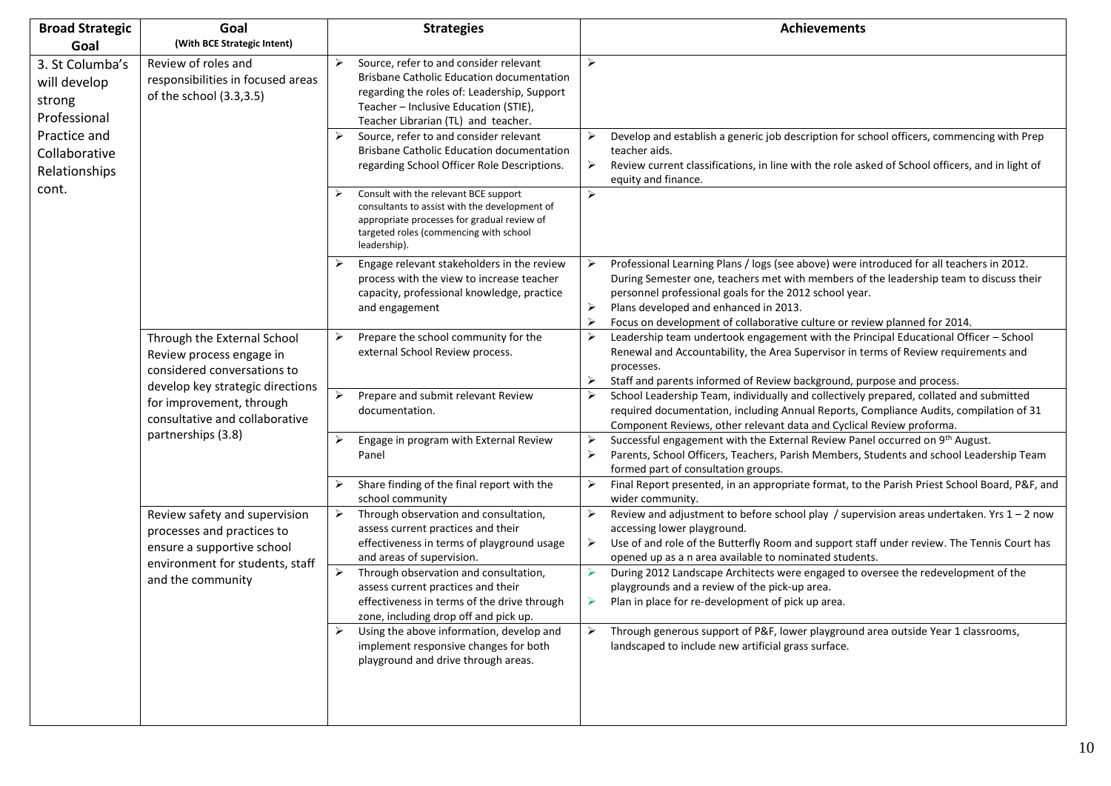| <b>Broad Strategic</b>                                                    | Goal                                                                                                                         | <b>Strategies</b>                                                                                                                                                                               | <b>Achievements</b>                                                                                                                                                                                                                                                                                                                                                               |                                                                                                                                          |
|---------------------------------------------------------------------------|------------------------------------------------------------------------------------------------------------------------------|-------------------------------------------------------------------------------------------------------------------------------------------------------------------------------------------------|-----------------------------------------------------------------------------------------------------------------------------------------------------------------------------------------------------------------------------------------------------------------------------------------------------------------------------------------------------------------------------------|------------------------------------------------------------------------------------------------------------------------------------------|
| Goal                                                                      | (With BCE Strategic Intent)                                                                                                  |                                                                                                                                                                                                 |                                                                                                                                                                                                                                                                                                                                                                                   |                                                                                                                                          |
| 3. St Columba's<br>will develop<br>strong<br>Professional<br>Practice and | responsibilities in focused areas<br>of the school (3.3,3.5)                                                                 | Review of roles and                                                                                                                                                                             | $\blacktriangleright$<br>Source, refer to and consider relevant<br><b>Brisbane Catholic Education documentation</b><br>regarding the roles of: Leadership, Support<br>Teacher - Inclusive Education (STIE),<br>Teacher Librarian (TL) and teacher.<br>Source, refer to and consider relevant<br>➤<br><b>Brisbane Catholic Education documentation</b>                             | $\blacktriangleright$<br>➤<br>Develop and establish a generic job description for school officers, commencing with Prep<br>teacher aids. |
| Collaborative<br>Relationships                                            |                                                                                                                              | regarding School Officer Role Descriptions.                                                                                                                                                     | ➤<br>Review current classifications, in line with the role asked of School officers, and in light of<br>equity and finance.                                                                                                                                                                                                                                                       |                                                                                                                                          |
| cont.                                                                     |                                                                                                                              | Consult with the relevant BCE support<br>consultants to assist with the development of<br>appropriate processes for gradual review of<br>targeted roles (commencing with school<br>leadership). | $\blacktriangleright$                                                                                                                                                                                                                                                                                                                                                             |                                                                                                                                          |
|                                                                           |                                                                                                                              | Engage relevant stakeholders in the review<br>➤<br>process with the view to increase teacher<br>capacity, professional knowledge, practice<br>and engagement                                    | ➤<br>Professional Learning Plans / logs (see above) were introduced for all teachers in 2012.<br>During Semester one, teachers met with members of the leadership team to discuss their<br>personnel professional goals for the 2012 school year.<br>➤<br>Plans developed and enhanced in 2013.<br>➤<br>Focus on development of collaborative culture or review planned for 2014. |                                                                                                                                          |
|                                                                           | Through the External School<br>Review process engage in<br>considered conversations to                                       | Prepare the school community for the<br>➤<br>external School Review process.                                                                                                                    | Leadership team undertook engagement with the Principal Educational Officer - School<br>➤<br>Renewal and Accountability, the Area Supervisor in terms of Review requirements and<br>processes.<br>➤<br>Staff and parents informed of Review background, purpose and process.                                                                                                      |                                                                                                                                          |
|                                                                           | develop key strategic directions<br>for improvement, through<br>consultative and collaborative<br>partnerships (3.8)         | $\blacktriangleright$<br>Prepare and submit relevant Review<br>documentation.                                                                                                                   | $\blacktriangleright$<br>School Leadership Team, individually and collectively prepared, collated and submitted<br>required documentation, including Annual Reports, Compliance Audits, compilation of 31<br>Component Reviews, other relevant data and Cyclical Review proforma.                                                                                                 |                                                                                                                                          |
|                                                                           |                                                                                                                              | Engage in program with External Review<br>➤<br>Panel                                                                                                                                            | ➤<br>Successful engagement with the External Review Panel occurred on 9th August.<br>Parents, School Officers, Teachers, Parish Members, Students and school Leadership Team<br>➤<br>formed part of consultation groups.                                                                                                                                                          |                                                                                                                                          |
|                                                                           |                                                                                                                              | Share finding of the final report with the<br>school community                                                                                                                                  | $\blacktriangleright$<br>Final Report presented, in an appropriate format, to the Parish Priest School Board, P&F, and<br>wider community.                                                                                                                                                                                                                                        |                                                                                                                                          |
|                                                                           | Review safety and supervision<br>processes and practices to<br>ensure a supportive school<br>environment for students, staff | $\blacktriangleright$<br>Through observation and consultation,<br>assess current practices and their<br>effectiveness in terms of playground usage<br>and areas of supervision.                 | $\blacktriangleright$<br>Review and adjustment to before school play / supervision areas undertaken. Yrs $1 - 2$ now<br>accessing lower playground.<br>Use of and role of the Butterfly Room and support staff under review. The Tennis Court has<br>➤<br>opened up as a n area available to nominated students.                                                                  |                                                                                                                                          |
|                                                                           | and the community                                                                                                            | $\blacktriangleright$<br>Through observation and consultation,<br>assess current practices and their<br>effectiveness in terms of the drive through<br>zone, including drop off and pick up.    | During 2012 Landscape Architects were engaged to oversee the redevelopment of the<br>playgrounds and a review of the pick-up area.<br>➤<br>Plan in place for re-development of pick up area.                                                                                                                                                                                      |                                                                                                                                          |
|                                                                           |                                                                                                                              | Using the above information, develop and<br>➤<br>implement responsive changes for both<br>playground and drive through areas.                                                                   | Through generous support of P&F, lower playground area outside Year 1 classrooms,<br>➤<br>landscaped to include new artificial grass surface.                                                                                                                                                                                                                                     |                                                                                                                                          |